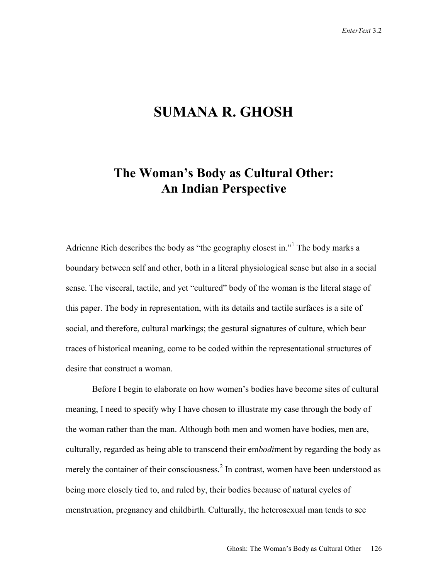## **SUMANA R. GHOSH**

## **The Woman's Body as Cultural Other: An Indian Perspective**

Adrienne Rich describes the body as "the geography closest in."<sup>1</sup> The body marks a boundary between self and other, both in a literal physiological sense but also in a social sense. The visceral, tactile, and yet "cultured" body of the woman is the literal stage of this paper. The body in representation, with its details and tactile surfaces is a site of social, and therefore, cultural markings; the gestural signatures of culture, which bear traces of historical meaning, come to be coded within the representational structures of desire that construct a woman.

Before I begin to elaborate on how women's bodies have become sites of cultural meaning, I need to specify why I have chosen to illustrate my case through the body of the woman rather than the man. Although both men and women have bodies, men are, culturally, regarded as being able to transcend their em*bodi*ment by regarding the body as merely the container of their consciousness.<sup>2</sup> In contrast, women have been understood as being more closely tied to, and ruled by, their bodies because of natural cycles of menstruation, pregnancy and childbirth. Culturally, the heterosexual man tends to see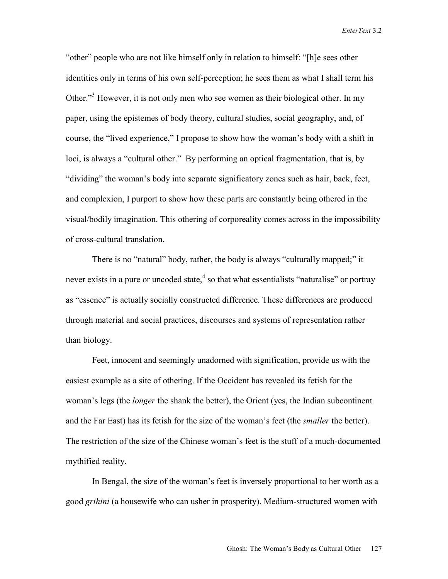"other" people who are not like himself only in relation to himself: "[h]e sees other identities only in terms of his own self-perception; he sees them as what I shall term his Other."<sup>3</sup> However, it is not only men who see women as their biological other. In my paper, using the epistemes of body theory, cultural studies, social geography, and, of course, the "lived experience," I propose to show how the woman's body with a shift in loci, is always a "cultural other." By performing an optical fragmentation, that is, by "dividing" the woman's body into separate significatory zones such as hair, back, feet, and complexion, I purport to show how these parts are constantly being othered in the visual/bodily imagination. This othering of corporeality comes across in the impossibility of cross-cultural translation.

There is no "natural" body, rather, the body is always "culturally mapped;" it never exists in a pure or uncoded state,  $4$  so that what essentialists "naturalise" or portray as "essence" is actually socially constructed difference. These differences are produced through material and social practices, discourses and systems of representation rather than biology.

Feet, innocent and seemingly unadorned with signification, provide us with the easiest example as a site of othering. If the Occident has revealed its fetish for the woman's legs (the *longer* the shank the better), the Orient (yes, the Indian subcontinent and the Far East) has its fetish for the size of the woman's feet (the *smaller* the better). The restriction of the size of the Chinese woman's feet is the stuff of a much-documented mythified reality.

In Bengal, the size of the woman's feet is inversely proportional to her worth as a good *grihini* (a housewife who can usher in prosperity). Medium-structured women with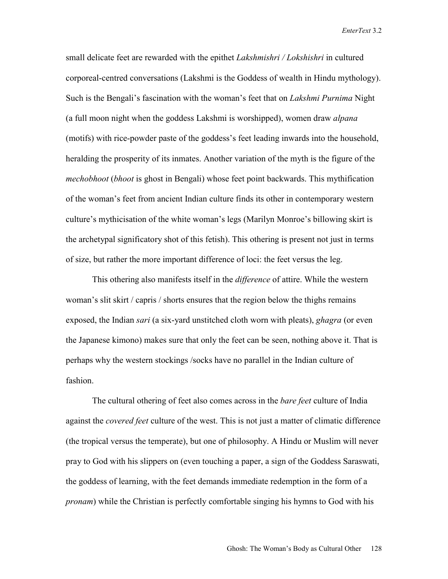small delicate feet are rewarded with the epithet *Lakshmishri / Lokshishri* in cultured corporeal-centred conversations (Lakshmi is the Goddess of wealth in Hindu mythology). Such is the Bengali's fascination with the woman's feet that on *Lakshmi Purnima* Night (a full moon night when the goddess Lakshmi is worshipped), women draw *alpana* (motifs) with rice-powder paste of the goddess's feet leading inwards into the household, heralding the prosperity of its inmates. Another variation of the myth is the figure of the *mechobhoot* (*bhoot* is ghost in Bengali) whose feet point backwards. This mythification of the woman's feet from ancient Indian culture finds its other in contemporary western culture's mythicisation of the white woman's legs (Marilyn Monroe's billowing skirt is the archetypal significatory shot of this fetish). This othering is present not just in terms of size, but rather the more important difference of loci: the feet versus the leg.

This othering also manifests itself in the *difference* of attire. While the western woman's slit skirt / capris / shorts ensures that the region below the thighs remains exposed, the Indian *sari* (a six-yard unstitched cloth worn with pleats), *ghagra* (or even the Japanese kimono) makes sure that only the feet can be seen, nothing above it. That is perhaps why the western stockings /socks have no parallel in the Indian culture of fashion.

The cultural othering of feet also comes across in the *bare feet* culture of India against the *covered feet* culture of the west. This is not just a matter of climatic difference (the tropical versus the temperate), but one of philosophy. A Hindu or Muslim will never pray to God with his slippers on (even touching a paper, a sign of the Goddess Saraswati, the goddess of learning, with the feet demands immediate redemption in the form of a *pronam*) while the Christian is perfectly comfortable singing his hymns to God with his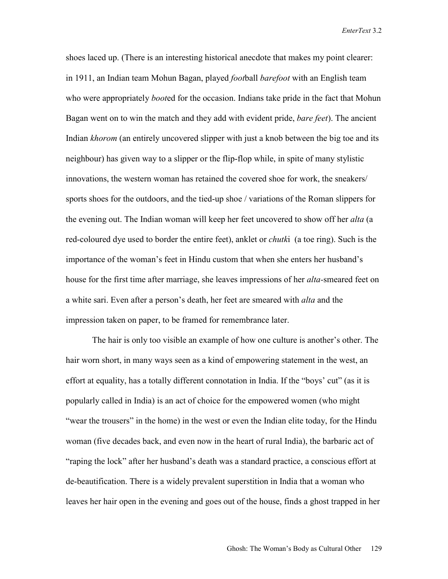shoes laced up. (There is an interesting historical anecdote that makes my point clearer: in 1911, an Indian team Mohun Bagan, played *foot*ball *barefoot* with an English team who were appropriately *boot*ed for the occasion. Indians take pride in the fact that Mohun Bagan went on to win the match and they add with evident pride, *bare feet*). The ancient Indian *khorom* (an entirely uncovered slipper with just a knob between the big toe and its neighbour) has given way to a slipper or the flip-flop while, in spite of many stylistic innovations, the western woman has retained the covered shoe for work, the sneakers/ sports shoes for the outdoors, and the tied-up shoe / variations of the Roman slippers for the evening out. The Indian woman will keep her feet uncovered to show off her *alta* (a red-coloured dye used to border the entire feet), anklet or *chutk*i (a toe ring). Such is the importance of the woman's feet in Hindu custom that when she enters her husband's house for the first time after marriage, she leaves impressions of her *alta-*smeared feet on a white sari. Even after a person's death, her feet are smeared with *alta* and the impression taken on paper, to be framed for remembrance later.

The hair is only too visible an example of how one culture is another's other. The hair worn short, in many ways seen as a kind of empowering statement in the west, an effort at equality, has a totally different connotation in India. If the "boys' cut" (as it is popularly called in India) is an act of choice for the empowered women (who might "wear the trousers" in the home) in the west or even the Indian elite today, for the Hindu woman (five decades back, and even now in the heart of rural India), the barbaric act of "raping the lock" after her husband's death was a standard practice, a conscious effort at de-beautification. There is a widely prevalent superstition in India that a woman who leaves her hair open in the evening and goes out of the house, finds a ghost trapped in her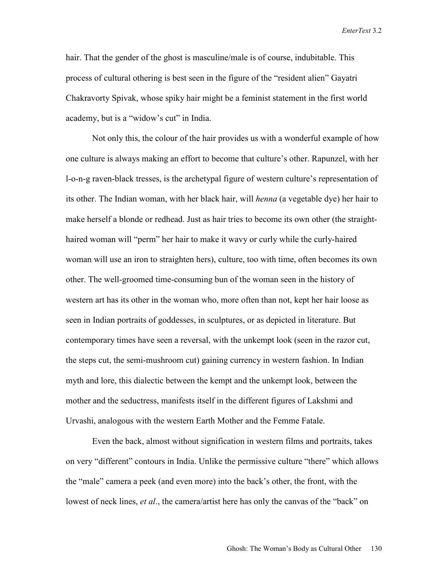hair. That the gender of the ghost is masculine/male is of course, indubitable. This process of cultural othering is best seen in the figure of the "resident alien" Gayatri Chakravorty Spivak, whose spiky hair might be a feminist statement in the first world academy, but is a "widow's cut" in India.

Not only this, the colour of the hair provides us with a wonderful example of how one culture is always making an effort to become that culture's other. Rapunzel, with her l-o-n-g raven-black tresses, is the archetypal figure of western culture's representation of its other. The Indian woman, with her black hair, will *henna* (a vegetable dye) her hair to make herself a blonde or redhead. Just as hair tries to become its own other (the straighthaired woman will "perm" her hair to make it wavy or curly while the curly-haired woman will use an iron to straighten hers), culture, too with time, often becomes its own other. The well-groomed time-consuming bun of the woman seen in the history of western art has its other in the woman who, more often than not, kept her hair loose as seen in Indian portraits of goddesses, in sculptures, or as depicted in literature. But contemporary times have seen a reversal, with the unkempt look (seen in the razor cut, the steps cut, the semi-mushroom cut) gaining currency in western fashion. In Indian myth and lore, this dialectic between the kempt and the unkempt look, between the mother and the seductress, manifests itself in the different figures of Lakshmi and Urvashi, analogous with the western Earth Mother and the Femme Fatale.

Even the back, almost without signification in western films and portraits, takes on very "different" contours in India. Unlike the permissive culture "there" which allows the "male" camera a peek (and even more) into the back's other, the front, with the lowest of neck lines, *et al*., the camera/artist here has only the canvas of the "back" on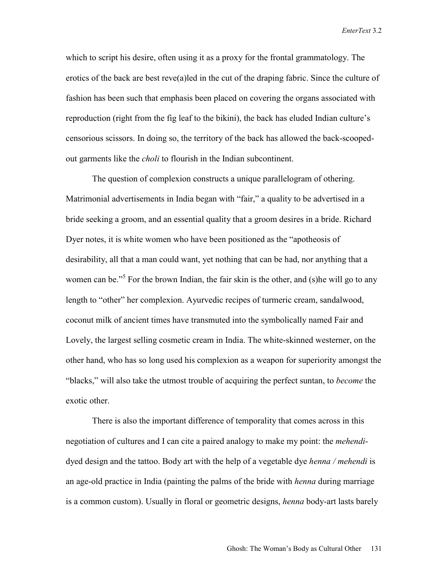which to script his desire, often using it as a proxy for the frontal grammatology. The erotics of the back are best reve(a)led in the cut of the draping fabric. Since the culture of fashion has been such that emphasis been placed on covering the organs associated with reproduction (right from the fig leaf to the bikini), the back has eluded Indian culture's censorious scissors. In doing so, the territory of the back has allowed the back-scoopedout garments like the *choli* to flourish in the Indian subcontinent.

The question of complexion constructs a unique parallelogram of othering. Matrimonial advertisements in India began with "fair," a quality to be advertised in a bride seeking a groom, and an essential quality that a groom desires in a bride. Richard Dyer notes, it is white women who have been positioned as the "apotheosis of desirability, all that a man could want, yet nothing that can be had, nor anything that a women can be."<sup>5</sup> For the brown Indian, the fair skin is the other, and (s) he will go to any length to "other" her complexion. Ayurvedic recipes of turmeric cream, sandalwood, coconut milk of ancient times have transmuted into the symbolically named Fair and Lovely, the largest selling cosmetic cream in India. The white-skinned westerner, on the other hand, who has so long used his complexion as a weapon for superiority amongst the "blacks," will also take the utmost trouble of acquiring the perfect suntan, to *become* the exotic other.

There is also the important difference of temporality that comes across in this negotiation of cultures and I can cite a paired analogy to make my point: the *mehendi*dyed design and the tattoo. Body art with the help of a vegetable dye *henna / mehendi* is an age-old practice in India (painting the palms of the bride with *henna* during marriage is a common custom). Usually in floral or geometric designs, *henna* body-art lasts barely

Ghosh: The Woman's Body as Cultural Other 131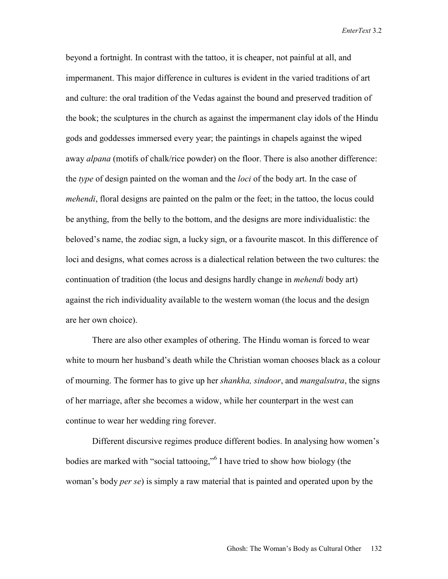beyond a fortnight. In contrast with the tattoo, it is cheaper, not painful at all, and impermanent. This major difference in cultures is evident in the varied traditions of art and culture: the oral tradition of the Vedas against the bound and preserved tradition of the book; the sculptures in the church as against the impermanent clay idols of the Hindu gods and goddesses immersed every year; the paintings in chapels against the wiped away *alpana* (motifs of chalk/rice powder) on the floor. There is also another difference: the *type* of design painted on the woman and the *loci* of the body art. In the case of *mehendi*, floral designs are painted on the palm or the feet; in the tattoo, the locus could be anything, from the belly to the bottom, and the designs are more individualistic: the beloved's name, the zodiac sign, a lucky sign, or a favourite mascot. In this difference of loci and designs, what comes across is a dialectical relation between the two cultures: the continuation of tradition (the locus and designs hardly change in *mehendi* body art) against the rich individuality available to the western woman (the locus and the design are her own choice).

There are also other examples of othering. The Hindu woman is forced to wear white to mourn her husband's death while the Christian woman chooses black as a colour of mourning. The former has to give up her *shankha, sindoor*, and *mangalsutra*, the signs of her marriage, after she becomes a widow, while her counterpart in the west can continue to wear her wedding ring forever.

Different discursive regimes produce different bodies. In analysing how women's bodies are marked with "social tattooing," I have tried to show how biology (the woman's body *per se*) is simply a raw material that is painted and operated upon by the